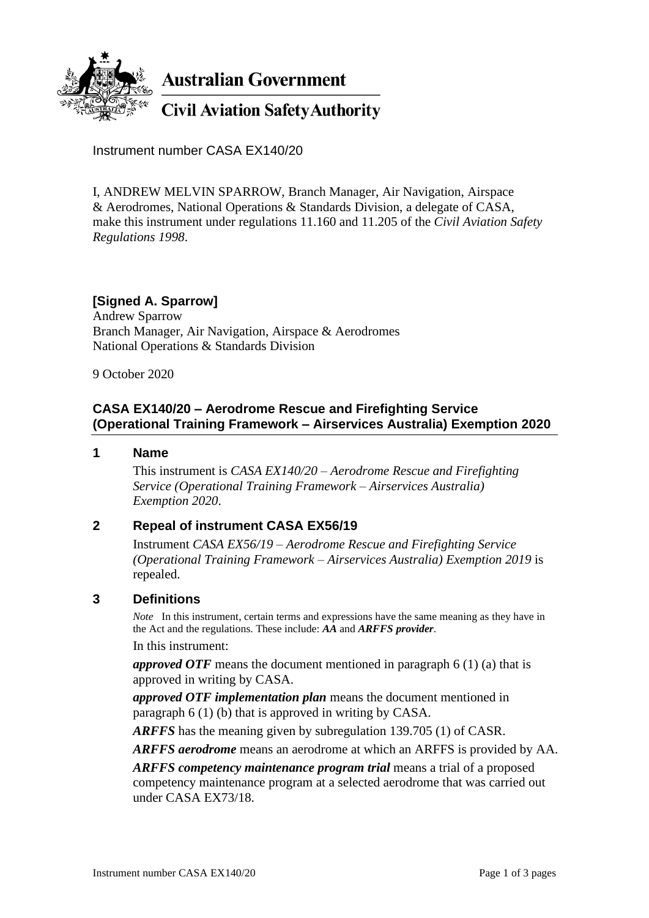

Instrument number CASA EX140/20

I, ANDREW MELVIN SPARROW, Branch Manager, Air Navigation, Airspace & Aerodromes, National Operations & Standards Division, a delegate of CASA, make this instrument under regulations 11.160 and 11.205 of the *Civil Aviation Safety Regulations 1998*.

# **[Signed A. Sparrow]**

Andrew Sparrow Branch Manager, Air Navigation, Airspace & Aerodromes National Operations & Standards Division

9 October 2020

### **CASA EX140/20 – Aerodrome Rescue and Firefighting Service (Operational Training Framework – Airservices Australia) Exemption 2020**

#### **1 Name**

This instrument is *CASA EX140/20 – Aerodrome Rescue and Firefighting Service (Operational Training Framework – Airservices Australia) Exemption 2020*.

#### **2 Repeal of instrument CASA EX56/19**

Instrument *CASA EX56/19 – Aerodrome Rescue and Firefighting Service (Operational Training Framework – Airservices Australia) Exemption 2019* is repealed.

#### **3 Definitions**

*Note* In this instrument, certain terms and expressions have the same meaning as they have in the Act and the regulations. These include: *AA* and *ARFFS provider*.

In this instrument:

*approved OTF* means the document mentioned in paragraph 6 (1) (a) that is approved in writing by CASA.

*approved OTF implementation plan* means the document mentioned in paragraph 6 (1) (b) that is approved in writing by CASA.

*ARFFS* has the meaning given by subregulation 139.705 (1) of CASR.

*ARFFS aerodrome* means an aerodrome at which an ARFFS is provided by AA.

*ARFFS competency maintenance program trial* means a trial of a proposed competency maintenance program at a selected aerodrome that was carried out under CASA EX73/18.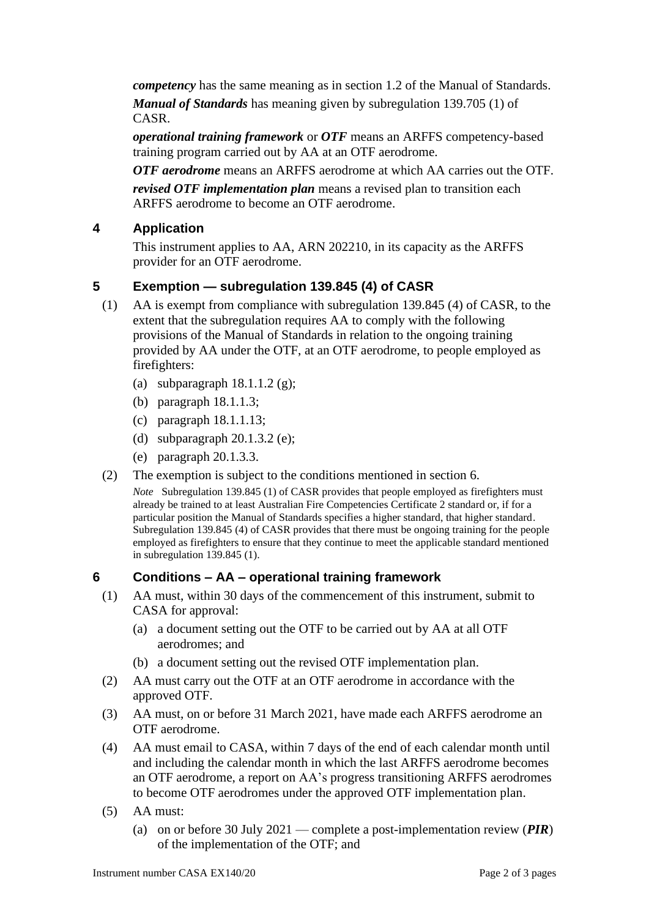*competency* has the same meaning as in section 1.2 of the Manual of Standards.

*Manual of Standards* has meaning given by subregulation 139.705 (1) of CASR.

*operational training framework* or *OTF* means an ARFFS competency-based training program carried out by AA at an OTF aerodrome.

*OTF aerodrome* means an ARFFS aerodrome at which AA carries out the OTF. *revised OTF implementation plan* means a revised plan to transition each ARFFS aerodrome to become an OTF aerodrome.

## **4 Application**

This instrument applies to AA, ARN 202210, in its capacity as the ARFFS provider for an OTF aerodrome.

### **5 Exemption — subregulation 139.845 (4) of CASR**

- (1) AA is exempt from compliance with subregulation 139.845 (4) of CASR, to the extent that the subregulation requires AA to comply with the following provisions of the Manual of Standards in relation to the ongoing training provided by AA under the OTF, at an OTF aerodrome, to people employed as firefighters:
	- (a) subparagraph  $18.1.1.2$  (g);
	- (b) paragraph 18.1.1.3;
	- (c) paragraph 18.1.1.13;
	- (d) subparagraph 20.1.3.2 (e);
	- (e) paragraph 20.1.3.3.
- (2) The exemption is subject to the conditions mentioned in section 6.

*Note* Subregulation 139.845 (1) of CASR provides that people employed as firefighters must already be trained to at least Australian Fire Competencies Certificate 2 standard or, if for a particular position the Manual of Standards specifies a higher standard, that higher standard. Subregulation 139.845 (4) of CASR provides that there must be ongoing training for the people employed as firefighters to ensure that they continue to meet the applicable standard mentioned in subregulation 139.845 (1).

### **6 Conditions – AA – operational training framework**

- (1) AA must, within 30 days of the commencement of this instrument, submit to CASA for approval:
	- (a) a document setting out the OTF to be carried out by AA at all OTF aerodromes; and
	- (b) a document setting out the revised OTF implementation plan.
- (2) AA must carry out the OTF at an OTF aerodrome in accordance with the approved OTF.
- (3) AA must, on or before 31 March 2021, have made each ARFFS aerodrome an OTF aerodrome.
- (4) AA must email to CASA, within 7 days of the end of each calendar month until and including the calendar month in which the last ARFFS aerodrome becomes an OTF aerodrome, a report on AA's progress transitioning ARFFS aerodromes to become OTF aerodromes under the approved OTF implementation plan.
- (5) AA must:
	- (a) on or before 30 July 2021 complete a post-implementation review (*PIR*) of the implementation of the OTF; and